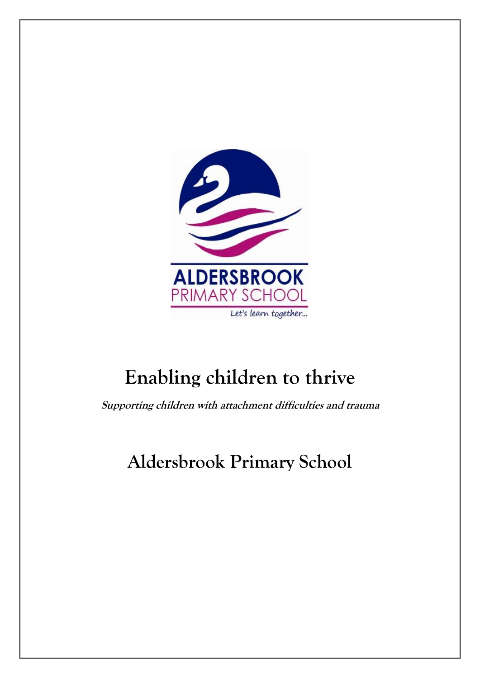

# **Enabling children to thrive**

**Supporting children with attachment difficulties and trauma**

## **Aldersbrook Primary School**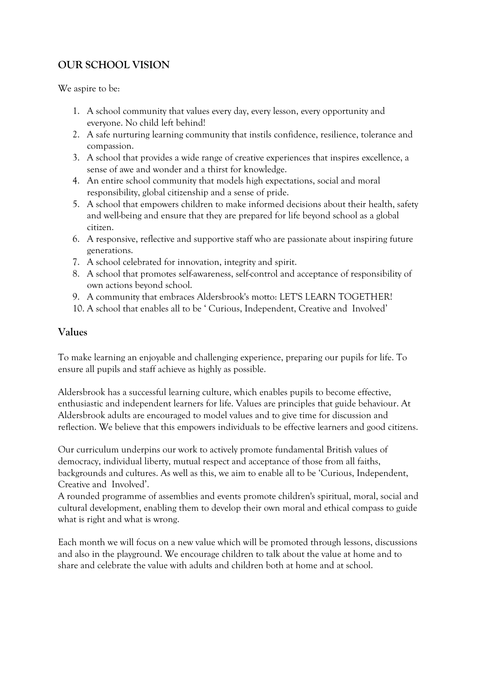## **OUR SCHOOL VISION**

We aspire to be:

- 1. A school community that values every day, every lesson, every opportunity and everyone. No child left behind!
- 2. A safe nurturing learning community that instils confidence, resilience, tolerance and compassion.
- 3. A school that provides a wide range of creative experiences that inspires excellence, a sense of awe and wonder and a thirst for knowledge.
- 4. An entire school community that models high expectations, social and moral responsibility, global citizenship and a sense of pride.
- 5. A school that empowers children to make informed decisions about their health, safety and well-being and ensure that they are prepared for life beyond school as a global citizen.
- 6. A responsive, reflective and supportive staff who are passionate about inspiring future generations.
- 7. A school celebrated for innovation, integrity and spirit.
- 8. A school that promotes self-awareness, self-control and acceptance of responsibility of own actions beyond school.
- 9. A community that embraces Aldersbrook's motto: LET'S LEARN TOGETHER!
- 10. A school that enables all to be ' Curious, Independent, Creative and Involved'

#### **Values**

To make learning an enjoyable and challenging experience, preparing our pupils for life. To ensure all pupils and staff achieve as highly as possible.

Aldersbrook has a successful learning culture, which enables pupils to become effective, enthusiastic and independent learners for life. Values are principles that guide behaviour. At Aldersbrook adults are encouraged to model values and to give time for discussion and reflection. We believe that this empowers individuals to be effective learners and good citizens.

Our curriculum underpins our work to actively promote fundamental British values of democracy, individual liberty, mutual respect and acceptance of those from all faiths, backgrounds and cultures. As well as this, we aim to enable all to be 'Curious, Independent, Creative and Involved'.

A rounded programme of assemblies and events promote children's spiritual, moral, social and cultural development, enabling them to develop their own moral and ethical compass to guide what is right and what is wrong.

Each month we will focus on a new value which will be promoted through lessons, discussions and also in the playground. We encourage children to talk about the value at home and to share and celebrate the value with adults and children both at home and at school.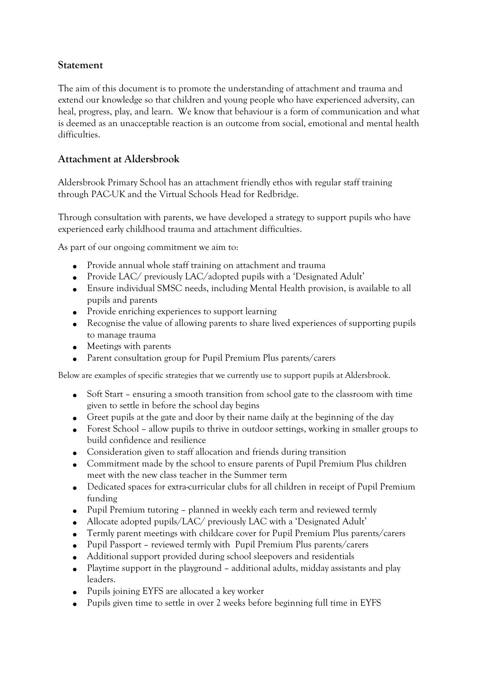#### **Statement**

The aim of this document is to promote the understanding of attachment and trauma and extend our knowledge so that children and young people who have experienced adversity, can heal, progress, play, and learn. We know that behaviour is a form of communication and what is deemed as an unacceptable reaction is an outcome from social, emotional and mental health difficulties.

#### **Attachment at Aldersbrook**

Aldersbrook Primary School has an attachment friendly ethos with regular staff training through PAC-UK and the Virtual Schools Head for Redbridge.

Through consultation with parents, we have developed a strategy to support pupils who have experienced early childhood trauma and attachment difficulties.

As part of our ongoing commitment we aim to:

- Provide annual whole staff training on attachment and trauma
- Provide LAC/ previously LAC/adopted pupils with a 'Designated Adult'
- Ensure individual SMSC needs, including Mental Health provision, is available to all pupils and parents
- Provide enriching experiences to support learning
- Recognise the value of allowing parents to share lived experiences of supporting pupils to manage trauma
- Meetings with parents
- Parent consultation group for Pupil Premium Plus parents/carers

Below are examples of specific strategies that we currently use to support pupils at Aldersbrook.

- Soft Start ensuring a smooth transition from school gate to the classroom with time given to settle in before the school day begins
- Greet pupils at the gate and door by their name daily at the beginning of the day
- Forest School allow pupils to thrive in outdoor settings, working in smaller groups to build confidence and resilience
- Consideration given to staff allocation and friends during transition
- Commitment made by the school to ensure parents of Pupil Premium Plus children meet with the new class teacher in the Summer term
- Dedicated spaces for extra-curricular clubs for all children in receipt of Pupil Premium funding
- Pupil Premium tutoring planned in weekly each term and reviewed termly
- Allocate adopted pupils/LAC/ previously LAC with a 'Designated Adult'
- Termly parent meetings with childcare cover for Pupil Premium Plus parents/carers
- Pupil Passport reviewed termly with Pupil Premium Plus parents/carers
- Additional support provided during school sleepovers and residentials
- Playtime support in the playground additional adults, midday assistants and play leaders.
- Pupils joining EYFS are allocated a key worker
- Pupils given time to settle in over 2 weeks before beginning full time in EYFS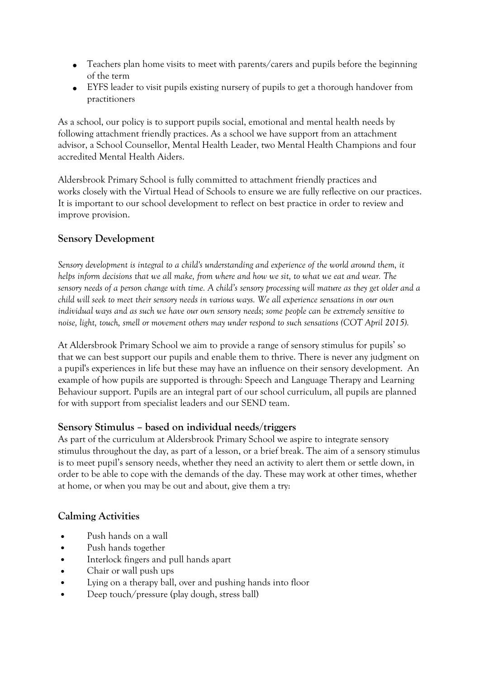- Teachers plan home visits to meet with parents/carers and pupils before the beginning of the term
- EYFS leader to visit pupils existing nursery of pupils to get a thorough handover from practitioners

As a school, our policy is to support pupils social, emotional and mental health needs by following attachment friendly practices. As a school we have support from an attachment advisor, a School Counsellor, Mental Health Leader, two Mental Health Champions and four accredited Mental Health Aiders.

Aldersbrook Primary School is fully committed to attachment friendly practices and works closely with the Virtual Head of Schools to ensure we are fully reflective on our practices. It is important to our school development to reflect on best practice in order to review and improve provision.

#### **Sensory Development**

*Sensory development is integral to a child's understanding and experience of the world around them, it* helps inform decisions that we all make, from where and how we sit, to what we eat and wear. The sensory needs of a person change with time. A child's sensory processing will mature as they get older and a child will seek to meet their sensory needs in various ways. We all experience sensations in our own individual ways and as such we have our own sensory needs; some people can be extremely sensitive to *noise, light, touch, smell or movement others may under respond to such sensations (COT April 2015).*

At Aldersbrook Primary School we aim to provide a range of sensory stimulus for pupils' so that we can best support our pupils and enable them to thrive. There is never any judgment on a pupil's experiences in life but these may have an influence on their sensory development. An example of how pupils are supported is through: Speech and Language Therapy and Learning Behaviour support. Pupils are an integral part of our school curriculum, all pupils are planned for with support from specialist leaders and our SEND team.

#### **Sensory Stimulus – based on individual needs/triggers**

As part of the curriculum at Aldersbrook Primary School we aspire to integrate sensory stimulus throughout the day, as part of a lesson, or a brief break. The aim of a sensory stimulus is to meet pupil's sensory needs, whether they need an activity to alert them or settle down, in order to be able to cope with the demands of the day. These may work at other times, whether at home, or when you may be out and about, give them a try:

#### **Calming Activities**

- Push hands on a wall
- Push hands together
- Interlock fingers and pull hands apart
- Chair or wall push ups
- Lying on a therapy ball, over and pushing hands into floor
- Deep touch/pressure (play dough, stress ball)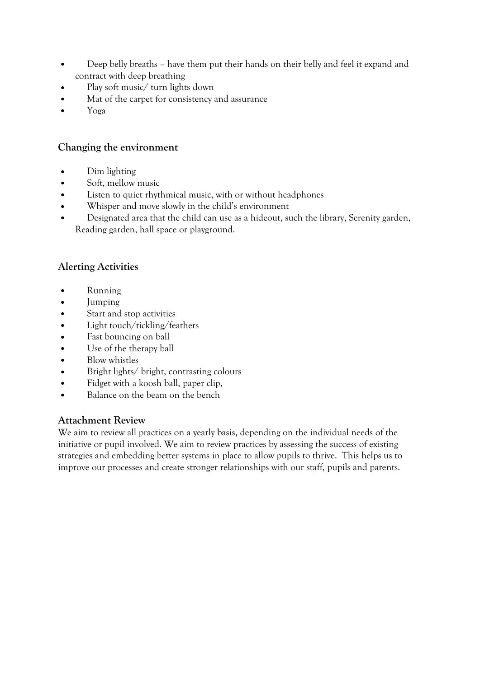- Deep belly breaths have them put their hands on their belly and feel it expand and contract with deep breathing
- Play soft music/ turn lights down
- Mat of the carpet for consistency and assurance
- Yoga

#### **Changing the environment**

- Dim lighting
- Soft, mellow music
- Listen to quiet rhythmical music, with or without headphones
- Whisper and move slowly in the child's environment
- Designated area that the child can use as a hideout, such the library, Serenity garden, Reading garden, hall space or playground.

## **Alerting Activities**

- Running
- Jumping
- Start and stop activities
- Light touch/tickling/feathers
- Fast bouncing on ball
- Use of the therapy ball
- Blow whistles
- Bright lights/ bright, contrasting colours
- Fidget with a koosh ball, paper clip,
- Balance on the beam on the bench

## **Attachment Review**

We aim to review all practices on a yearly basis, depending on the individual needs of the initiative or pupil involved. We aim to review practices by assessing the success of existing strategies and embedding better systems in place to allow pupils to thrive. This helps us to improve our processes and create stronger relationships with our staff, pupils and parents.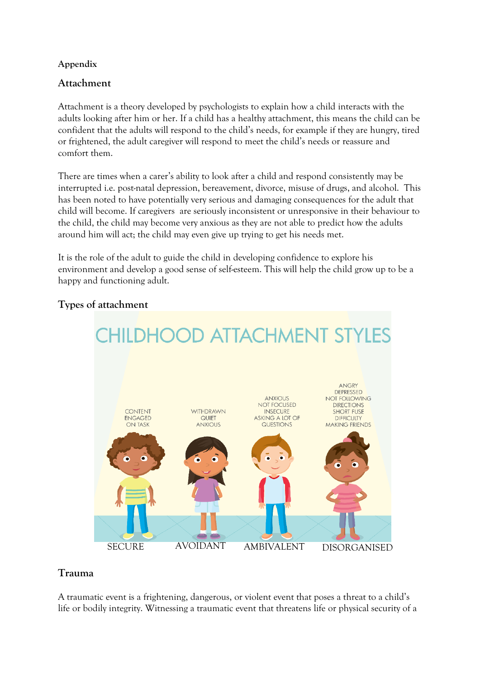#### **Appendix**

#### **Attachment**

Attachment is a theory developed by psychologists to explain how a child interacts with the adults looking after him or her. If a child has a healthy attachment, this means the child can be confident that the adults will respond to the child's needs, for example if they are hungry, tired or frightened, the adult caregiver will respond to meet the child's needs or reassure and comfort them.

There are times when a carer's ability to look after a child and respond consistently may be interrupted i.e. post-natal depression, bereavement, divorce, misuse of drugs, and alcohol. This has been noted to have potentially very serious and damaging consequences for the adult that child will become. If caregivers are seriously inconsistent or unresponsive in their behaviour to the child, the child may become very anxious as they are not able to predict how the adults around him will act; the child may even give up trying to get his needs met.

It is the role of the adult to guide the child in developing confidence to explore his environment and develop a good sense of self-esteem. This will help the child grow up to be a happy and functioning adult.



#### **Types of attachment**

#### **Trauma**

A traumatic event is a frightening, dangerous, or violent event that poses a threat to a child's life or bodily integrity. Witnessing a traumatic event that threatens life or physical security of a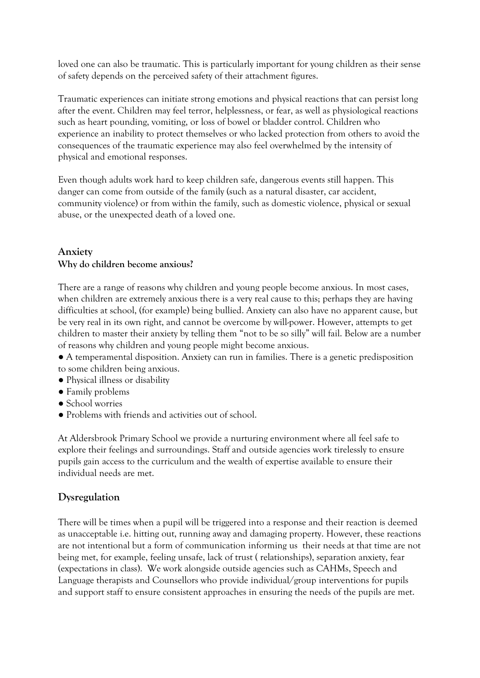loved one can also be traumatic. This is particularly important for young children as their sense of safety depends on the perceived safety of their attachment figures.

Traumatic experiences can initiate strong emotions and physical reactions that can persist long after the event. Children may feel terror, helplessness, or fear, as well as physiological reactions such as heart pounding, vomiting, or loss of bowel or bladder control. Children who experience an inability to protect themselves or who lacked protection from others to avoid the consequences of the traumatic experience may also feel overwhelmed by the intensity of physical and emotional responses.

Even though adults work hard to keep children safe, dangerous events still happen. This danger can come from outside of the family (such as a natural disaster, car accident, community violence) or from within the family, such as domestic violence, physical or sexual abuse, or the unexpected death of a loved one.

#### **Anxiety Why do children become anxious?**

There are a range of reasons why children and young people become anxious. In most cases, when children are extremely anxious there is a very real cause to this; perhaps they are having difficulties at school, (for example) being bullied. Anxiety can also have no apparent cause, but be very real in its own right, and cannot be overcome by will-power. However, attempts to get children to master their anxiety by telling them "not to be so silly" will fail. Below are a number of reasons why children and young people might become anxious.

- A temperamental disposition. Anxiety can run in families. There is a genetic predisposition to some children being anxious.
- Physical illness or disability
- Family problems
- School worries
- Problems with friends and activities out of school.

At Aldersbrook Primary School we provide a nurturing environment where all feel safe to explore their feelings and surroundings. Staff and outside agencies work tirelessly to ensure pupils gain access to the curriculum and the wealth of expertise available to ensure their individual needs are met.

## **Dysregulation**

There will be times when a pupil will be triggered into a response and their reaction is deemed as unacceptable i.e. hitting out, running away and damaging property. However, these reactions are not intentional but a form of communication informing us their needs at that time are not being met, for example, feeling unsafe, lack of trust ( relationships), separation anxiety, fear (expectations in class). We work alongside outside agencies such as CAHMs, Speech and Language therapists and Counsellors who provide individual/group interventions for pupils and support staff to ensure consistent approaches in ensuring the needs of the pupils are met.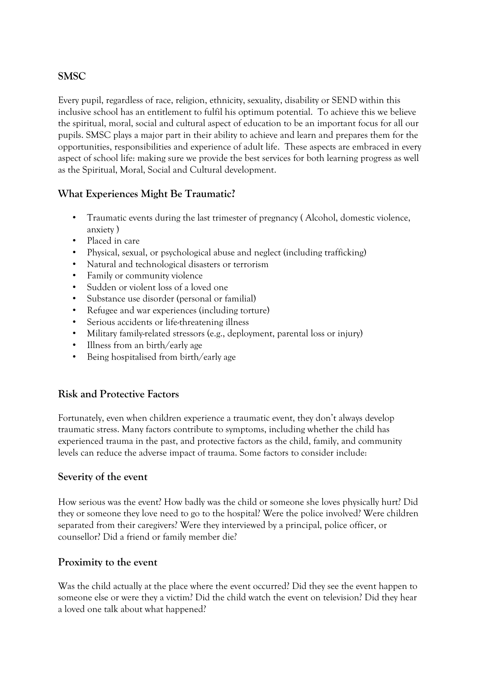#### **SMSC**

Every pupil, regardless of race, religion, ethnicity, sexuality, disability or SEND within this inclusive school has an entitlement to fulfil his optimum potential. To achieve this we believe the spiritual, moral, social and cultural aspect of education to be an important focus for all our pupils. SMSC plays a major part in their ability to achieve and learn and prepares them for the opportunities, responsibilities and experience of adult life. These aspects are embraced in every aspect of school life: making sure we provide the best services for both learning progress as well as the Spiritual, Moral, Social and Cultural development.

## **What Experiences Might Be Traumatic?**

- Traumatic events during the last trimester of pregnancy ( Alcohol, domestic violence, anxiety )
- Placed in care
- Physical, sexual, or psychological abuse and neglect (including trafficking)
- Natural and technological disasters or terrorism
- Family or community violence
- Sudden or violent loss of a loved one
- Substance use disorder (personal or familial)
- Refugee and war experiences (including torture)
- Serious accidents or life-threatening illness
- Military family-related stressors (e.g., deployment, parental loss or injury)
- Illness from an birth/early age
- Being hospitalised from birth/early age

#### **Risk and Protective Factors**

Fortunately, even when children experience a traumatic event, they don't always develop traumatic stress. Many factors contribute to symptoms, including whether the child has experienced trauma in the past, and protective factors as the child, family, and community levels can reduce the adverse impact of trauma. Some factors to consider include:

#### **Severity of the event**

How serious was the event? How badly was the child or someone she loves physically hurt? Did they or someone they love need to go to the hospital? Were the police involved? Were children separated from their caregivers? Were they interviewed by a principal, police officer, or counsellor? Did a friend or family member die?

#### **Proximity to the event**

Was the child actually at the place where the event occurred? Did they see the event happen to someone else or were they a victim? Did the child watch the event on television? Did they hear a loved one talk about what happened?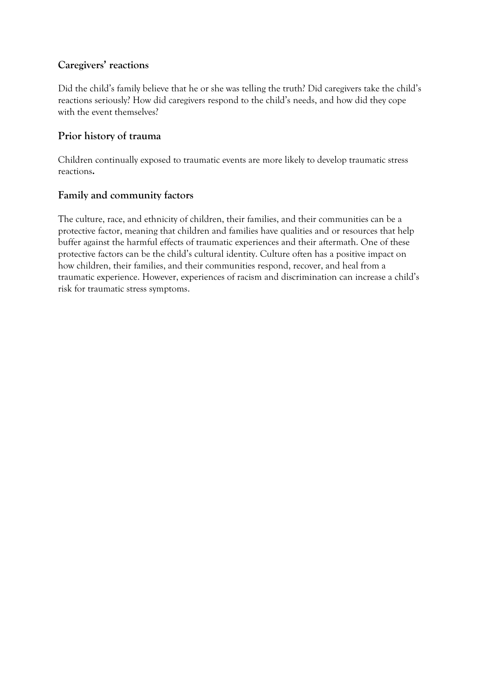#### **Caregivers' reactions**

Did the child's family believe that he or she was telling the truth? Did caregivers take the child's reactions seriously? How did caregivers respond to the child's needs, and how did they cope with the event themselves?

#### **Prior history of trauma**

Children continually exposed to traumatic events are more likely to develop traumatic stress reactions**.**

#### **Family and community factors**

The culture, race, and ethnicity of children, their families, and their communities can be a protective factor, meaning that children and families have qualities and or resources that help buffer against the harmful effects of traumatic experiences and their aftermath. One of these protective factors can be the child's cultural identity. Culture often has a positive impact on how children, their families, and their communities respond, recover, and heal from a traumatic experience. However, experiences of racism and discrimination can increase a child's risk for traumatic stress symptoms.